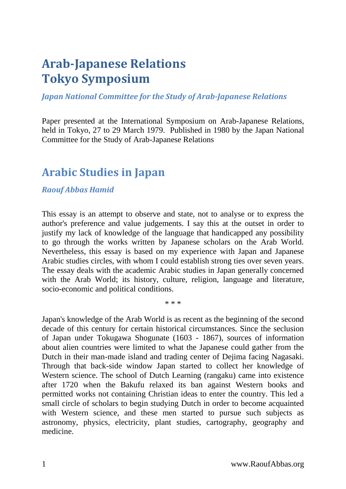# **Arab-Japanese Relations Tokyo Symposium**

## *Japan National Committee for the Study of Arab-Japanese Relations*

Paper presented at the International Symposium on Arab-Japanese Relations, held in Tokyo, 27 to 29 March 1979. Published in 1980 by the Japan National Committee for the Study of Arab-Japanese Relations

## **Arabic Studies in Japan**

## *Raouf Abbas Hamid*

This essay is an attempt to observe and state, not to analyse or to express the author's preference and value judgements. I say this at the outset in order to justify my lack of knowledge of the language that handicapped any possibility to go through the works written by Japanese scholars on the Arab World. Nevertheless, this essay is based on my experience with Japan and Japanese Arabic studies circles, with whom I could establish strong ties over seven years. The essay deals with the academic Arabic studies in Japan generally concerned with the Arab World; its history, culture, religion, language and literature, socio-economic and political conditions.

\* \* \*

Japan's knowledge of the Arab World is as recent as the beginning of the second decade of this century for certain historical circumstances. Since the seclusion of Japan under Tokugawa Shogunate (1603 - 1867), sources of information about alien countries were limited to what the Japanese could gather from the Dutch in their man-made island and trading center of Dejima facing Nagasaki. Through that back-side window Japan started to collect her knowledge of Western science. The school of Dutch Learning (rangaku) came into existence after 1720 when the Bakufu relaxed its ban against Western books and permitted works not containing Christian ideas to enter the country. This led a small circle of scholars to begin studying Dutch in order to become acquainted with Western science, and these men started to pursue such subjects as astronomy, physics, electricity, plant studies, cartography, geography and medicine.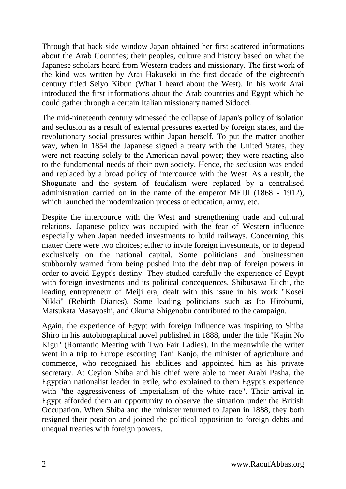Through that back-side window Japan obtained her first scattered informations about the Arab Countries; their peoples, culture and history based on what the Japanese scholars heard from Western traders and missionary. The first work of the kind was written by Arai Hakuseki in the first decade of the eighteenth century titled Seiyo Kibun (What I heard about the West). In his work Arai introduced the first informations about the Arab countries and Egypt which he could gather through a certain Italian missionary named Sidocci.

The mid-nineteenth century witnessed the collapse of Japan's policy of isolation and seclusion as a result of external pressures exerted by foreign states, and the revolutionary social pressures within Japan herself. To put the matter another way, when in 1854 the Japanese signed a treaty with the United States, they were not reacting solely to the American naval power; they were reacting also to the fundamental needs of their own society. Hence, the seclusion was ended and replaced by a broad policy of intercource with the West. As a result, the Shogunate and the system of feudalism were replaced by a centralised administration carried on in the name of the emperor MEIJI (1868 - 1912), which launched the modernization process of education, army, etc.

Despite the intercource with the West and strengthening trade and cultural relations, Japanese policy was occupied with the fear of Western influence especially when Japan needed investments to build railways. Concerning this matter there were two choices; either to invite foreign investments, or to depend exclusively on the national capital. Some politicians and businessmen stubbornly warned from being pushed into the debt trap of foreign powers in order to avoid Egypt's destiny. They studied carefully the experience of Egypt with foreign investments and its political concequences. Shibusawa Eiichi, the leading entrepreneur of Meiji era, dealt with this issue in his work "Kosei Nikki" (Rebirth Diaries). Some leading politicians such as Ito Hirobumi, Matsukata Masayoshi, and Okuma Shigenobu contributed to the campaign.

Again, the experience of Egypt with foreign influence was inspiring to Shiba Shiro in his autobiographical novel published in 1888, under the title "Kajin No Kigu" (Romantic Meeting with Two Fair Ladies). In the meanwhile the writer went in a trip to Europe escorting Tani Kanjo, the minister of agriculture and commerce, who recognized his abilities and appointed him as his private secretary. At Ceylon Shiba and his chief were able to meet Arabi Pasha, the Egyptian nationalist leader in exile, who explained to them Egypt's experience with "the aggressiveness of imperialism of the white race". Their arrival in Egypt afforded them an opportunity to observe the situation under the British Occupation. When Shiba and the minister returned to Japan in 1888, they both resigned their position and joined the political opposition to foreign debts and unequal treaties with foreign powers.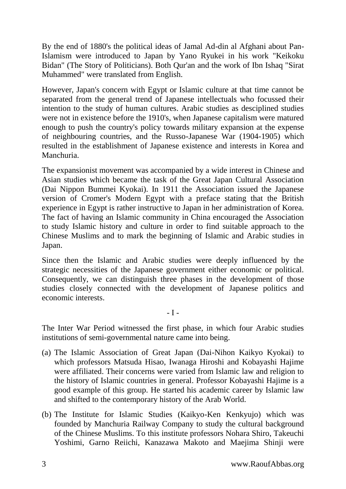By the end of 1880's the political ideas of Jamal Ad-din al Afghani about Pan-Islamism were introduced to Japan by Yano Ryukei in his work "Keikoku Bidan" (The Story of Politicians). Both Qur'an and the work of Ibn Ishaq "Sirat Muhammed" were translated from English.

However, Japan's concern with Egypt or Islamic culture at that time cannot be separated from the general trend of Japanese intellectuals who focussed their intention to the study of human cultures. Arabic studies as desciplined studies were not in existence before the 1910's, when Japanese capitalism were matured enough to push the country's policy towards military expansion at the expense of neighbouring countries, and the Russo-Japanese War (1904-1905) which resulted in the establishment of Japanese existence and interests in Korea and Manchuria.

The expansionist movement was accompanied by a wide interest in Chinese and Asian studies which became the task of the Great Japan Cultural Association (Dai Nippon Bummei Kyokai). In 1911 the Association issued the Japanese version of Cromer's Modern Egypt with a preface stating that the British experience in Egypt is rather instructive to Japan in her administration of Korea. The fact of having an Islamic community in China encouraged the Association to study Islamic history and culture in order to find suitable approach to the Chinese Muslims and to mark the beginning of Islamic and Arabic studies in Japan.

Since then the Islamic and Arabic studies were deeply influenced by the strategic necessities of the Japanese government either economic or political. Consequently, we can distinguish three phases in the development of those studies closely connected with the development of Japanese politics and economic interests.

#### - I -

The Inter War Period witnessed the first phase, in which four Arabic studies institutions of semi-governmental nature came into being.

- (a) The Islamic Association of Great Japan (Dai-Nihon Kaikyo Kyokai) to which professors Matsuda Hisao, Iwanaga Hiroshi and Kobayashi Hajime were affiliated. Their concerns were varied from Islamic law and religion to the history of Islamic countries in general. Professor Kobayashi Hajime is a good example of this group. He started his academic career by Islamic law and shifted to the contemporary history of the Arab World.
- (b) The Institute for Islamic Studies (Kaikyo-Ken Kenkyujo) which was founded by Manchuria Railway Company to study the cultural background of the Chinese Muslims. To this institute professors Nohara Shiro, Takeuchi Yoshimi, Garno Reiichi, Kanazawa Makoto and Maejima Shinji were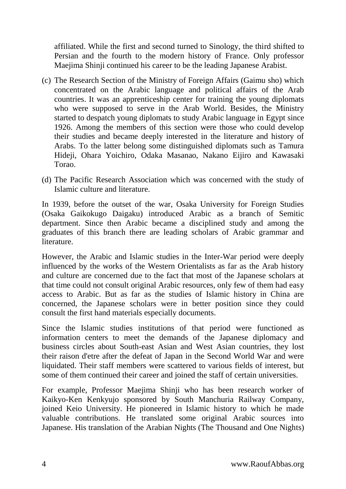affiliated. While the first and second turned to Sinology, the third shifted to Persian and the fourth to the modern history of France. Only professor Maejima Shinji continued his career to be the leading Japanese Arabist.

- (c) The Research Section of the Ministry of Foreign Affairs (Gaimu sho) which concentrated on the Arabic language and political affairs of the Arab countries. It was an apprenticeship center for training the young diplomats who were supposed to serve in the Arab World. Besides, the Ministry started to despatch young diplomats to study Arabic language in Egypt since 1926. Among the members of this section were those who could develop their studies and became deeply interested in the literature and history of Arabs. To the latter belong some distinguished diplomats such as Tamura Hideji, Ohara Yoichiro, Odaka Masanao, Nakano Eijiro and Kawasaki Torao.
- (d) The Pacific Research Association which was concerned with the study of Islamic culture and literature.

In 1939, before the outset of the war, Osaka University for Foreign Studies (Osaka Gaikokugo Daigaku) introduced Arabic as a branch of Semitic department. Since then Arabic became a disciplined study and among the graduates of this branch there are leading scholars of Arabic grammar and literature.

However, the Arabic and Islamic studies in the Inter-War period were deeply influenced by the works of the Western Orientalists as far as the Arab history and culture are concerned due to the fact that most of the Japanese scholars at that time could not consult original Arabic resources, only few of them had easy access to Arabic. But as far as the studies of Islamic history in China are concerned, the Japanese scholars were in better position since they could consult the first hand materials especially documents.

Since the Islamic studies institutions of that period were functioned as information centers to meet the demands of the Japanese diplomacy and business circles about South-east Asian and West Asian countries, they lost their raison d'etre after the defeat of Japan in the Second World War and were liquidated. Their staff members were scattered to various fields of interest, but some of them continued their career and joined the staff of certain universities.

For example, Professor Maejima Shinji who has been research worker of Kaikyo-Ken Kenkyujo sponsored by South Manchuria Railway Company, joined Keio University. He pioneered in Islamic history to which he made valuable contributions. He translated some original Arabic sources into Japanese. His translation of the Arabian Nights (The Thousand and One Nights)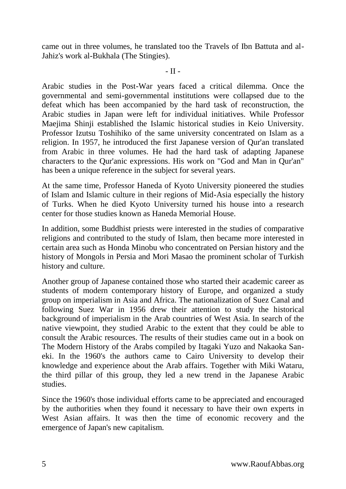came out in three volumes, he translated too the Travels of Ibn Battuta and al-Jahiz's work al-Bukhala (The Stingies).

#### - II -

Arabic studies in the Post-War years faced a critical dilemma. Once the governmental and semi-governmental institutions were collapsed due to the defeat which has been accompanied by the hard task of reconstruction, the Arabic studies in Japan were left for individual initiatives. While Professor Maejima Shinji established the Islamic historical studies in Keio University. Professor Izutsu Toshihiko of the same university concentrated on Islam as a religion. In 1957, he introduced the first Japanese version of Qur'an translated from Arabic in three volumes. He had the hard task of adapting Japanese characters to the Qur'anic expressions. His work on "God and Man in Qur'an" has been a unique reference in the subject for several years.

At the same time, Professor Haneda of Kyoto University pioneered the studies of Islam and Islamic culture in their regions of Mid-Asia especially the history of Turks. When he died Kyoto University turned his house into a research center for those studies known as Haneda Memorial House.

In addition, some Buddhist priests were interested in the studies of comparative religions and contributed to the study of Islam, then became more interested in certain area such as Honda Minobu who concentrated on Persian history and the history of Mongols in Persia and Mori Masao the prominent scholar of Turkish history and culture.

Another group of Japanese contained those who started their academic career as students of modern contemporary history of Europe, and organized a study group on imperialism in Asia and Africa. The nationalization of Suez Canal and following Suez War in 1956 drew their attention to study the historical background of imperialism in the Arab countries of West Asia. In search of the native viewpoint, they studied Arabic to the extent that they could be able to consult the Arabic resources. The results of their studies came out in a book on The Modern History of the Arabs compiled by Itagaki Yuzo and Nakaoka Saneki. In the 1960's the authors came to Cairo University to develop their knowledge and experience about the Arab affairs. Together with Miki Wataru, the third pillar of this group, they led a new trend in the Japanese Arabic studies.

Since the 1960's those individual efforts came to be appreciated and encouraged by the authorities when they found it necessary to have their own experts in West Asian affairs. It was then the time of economic recovery and the emergence of Japan's new capitalism.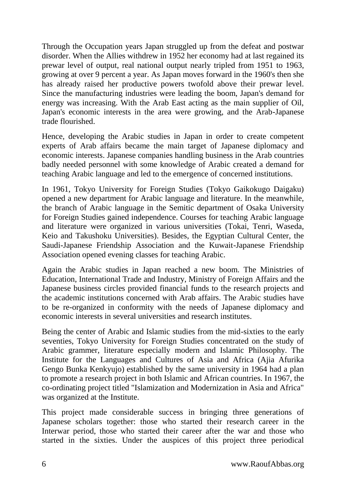Through the Occupation years Japan struggled up from the defeat and postwar disorder. When the Allies withdrew in 1952 her economy had at last regained its prewar level of output, real national output nearly tripled from 1951 to 1963, growing at over 9 percent a year. As Japan moves forward in the 1960's then she has already raised her productive powers twofold above their prewar level. Since the manufacturing industries were leading the boom, Japan's demand for energy was increasing. With the Arab East acting as the main supplier of Oil, Japan's economic interests in the area were growing, and the Arab-Japanese trade flourished.

Hence, developing the Arabic studies in Japan in order to create competent experts of Arab affairs became the main target of Japanese diplomacy and economic interests. Japanese companies handling business in the Arab countries badly needed personnel with some knowledge of Arabic created a demand for teaching Arabic language and led to the emergence of concerned institutions.

In 1961, Tokyo University for Foreign Studies (Tokyo Gaikokugo Daigaku) opened a new department for Arabic language and literature. In the meanwhile, the branch of Arabic language in the Semitic department of Osaka University for Foreign Studies gained independence. Courses for teaching Arabic language and literature were organized in various universities (Tokai, Tenri, Waseda, Keio and Takushoku Universities). Besides, the Egyptian Cultural Center, the Saudi-Japanese Friendship Association and the Kuwait-Japanese Friendship Association opened evening classes for teaching Arabic.

Again the Arabic studies in Japan reached a new boom. The Ministries of Education, International Trade and Industry, Ministry of Foreign Affairs and the Japanese business circles provided financial funds to the research projects and the academic institutions concerned with Arab affairs. The Arabic studies have to be re-organized in conformity with the needs of Japanese diplomacy and economic interests in several universities and research institutes.

Being the center of Arabic and Islamic studies from the mid-sixties to the early seventies, Tokyo University for Foreign Studies concentrated on the study of Arabic grammer, literature especially modern and Islamic Philosophy. The Institute for the Languages and Cultures of Asia and Africa (Ajia Afurika Gengo Bunka Kenkyujo) established by the same university in 1964 had a plan to promote a research project in both Islamic and African countries. In 1967, the co-ordinating project titled "Islamization and Modernization in Asia and Africa" was organized at the Institute.

This project made considerable success in bringing three generations of Japanese scholars together: those who started their research career in the Interwar period, those who started their career after the war and those who started in the sixties. Under the auspices of this project three periodical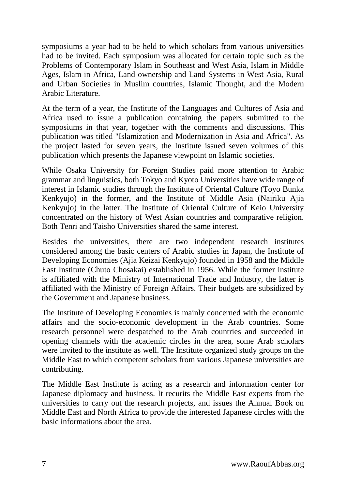symposiums a year had to be held to which scholars from various universities had to be invited. Each symposium was allocated for certain topic such as the Problems of Contemporary Islam in Southeast and West Asia, Islam in Middle Ages, Islam in Africa, Land-ownership and Land Systems in West Asia, Rural and Urban Societies in Muslim countries, Islamic Thought, and the Modern Arabic Literature.

At the term of a year, the Institute of the Languages and Cultures of Asia and Africa used to issue a publication containing the papers submitted to the symposiums in that year, together with the comments and discussions. This publication was titled "Islamization and Modernization in Asia and Africa". As the project lasted for seven years, the Institute issued seven volumes of this publication which presents the Japanese viewpoint on Islamic societies.

While Osaka University for Foreign Studies paid more attention to Arabic grammar and linguistics, both Tokyo and Kyoto Universities have wide range of interest in Islamic studies through the Institute of Oriental Culture (Toyo Bunka Kenkyujo) in the former, and the Institute of Middle Asia (Nairiku Ajia Kenkyujo) in the latter. The Institute of Oriental Culture of Keio University concentrated on the history of West Asian countries and comparative religion. Both Tenri and Taisho Universities shared the same interest.

Besides the universities, there are two independent research institutes considered among the basic centers of Arabic studies in Japan, the Institute of Developing Economies (Ajia Keizai Kenkyujo) founded in 1958 and the Middle East Institute (Chuto Chosakai) established in 1956. While the former institute is affiliated with the Ministry of International Trade and Industry, the latter is affiliated with the Ministry of Foreign Affairs. Their budgets are subsidized by the Government and Japanese business.

The Institute of Developing Economies is mainly concerned with the economic affairs and the socio-economic development in the Arab countries. Some research personnel were despatched to the Arab countries and succeeded in opening channels with the academic circles in the area, some Arab scholars were invited to the institute as well. The Institute organized study groups on the Middle East to which competent scholars from various Japanese universities are contributing.

The Middle East Institute is acting as a research and information center for Japanese diplomacy and business. It recurits the Middle East experts from the universities to carry out the research projects, and issues the Annual Book on Middle East and North Africa to provide the interested Japanese circles with the basic informations about the area.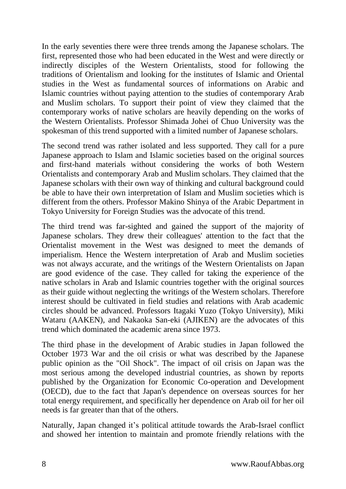In the early seventies there were three trends among the Japanese scholars. The first, represented those who had been educated in the West and were directly or indirectly disciples of the Western Orientalists, stood for following the traditions of Orientalism and looking for the institutes of Islamic and Oriental studies in the West as fundamental sources of informations on Arabic and Islamic countries without paying attention to the studies of contemporary Arab and Muslim scholars. To support their point of view they claimed that the contemporary works of native scholars are heavily depending on the works of the Western Orientalists. Professor Shimada Johei of Chuo University was the spokesman of this trend supported with a limited number of Japanese scholars.

The second trend was rather isolated and less supported. They call for a pure Japanese approach to Islam and Islamic societies based on the original sources and first-hand materials without considering the works of both Western Orientalists and contemporary Arab and Muslim scholars. They claimed that the Japanese scholars with their own way of thinking and cultural background could be able to have their own interpretation of Islam and Muslim societies which is different from the others. Professor Makino Shinya of the Arabic Department in Tokyo University for Foreign Studies was the advocate of this trend.

The third trend was far-sighted and gained the support of the majority of Japanese scholars. They drew their colleagues' attention to the fact that the Orientalist movement in the West was designed to meet the demands of imperialism. Hence the Western interpretation of Arab and Muslim societies was not always accurate, and the writings of the Western Orientalists on Japan are good evidence of the case. They called for taking the experience of the native scholars in Arab and Islamic countries together with the original sources as their guide without neglecting the writings of the Western scholars. Therefore interest should be cultivated in field studies and relations with Arab academic circles should be advanced. Professors Itagaki Yuzo (Tokyo University), Miki Wataru (AAKEN), and Nakaoka San-eki (AJIKEN) are the advocates of this trend which dominated the academic arena since 1973.

The third phase in the development of Arabic studies in Japan followed the October 1973 War and the oil crisis or what was described by the Japanese public opinion as the "Oil Shock". The impact of oil crisis on Japan was the most serious among the developed industrial countries, as shown by reports published by the Organization for Economic Co-operation and Development (OECD), due to the fact that Japan's dependence on overseas sources for her total energy requirement, and specifically her dependence on Arab oil for her oil needs is far greater than that of the others.

Naturally, Japan changed it's political attitude towards the Arab-Israel conflict and showed her intention to maintain and promote friendly relations with the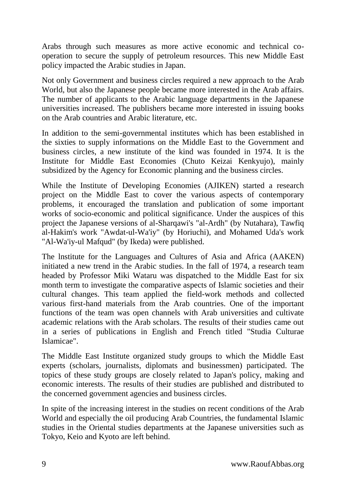Arabs through such measures as more active economic and technical cooperation to secure the supply of petroleum resources. This new Middle East policy impacted the Arabic studies in Japan.

Not only Government and business circles required a new approach to the Arab World, but also the Japanese people became more interested in the Arab affairs. The number of applicants to the Arabic language departments in the Japanese universities increased. The publishers became more interested in issuing books on the Arab countries and Arabic literature, etc.

In addition to the semi-governmental institutes which has been established in the sixties to supply informations on the Middle East to the Government and business circles, a new institute of the kind was founded in 1974. It is the Institute for Middle East Economies (Chuto Keizai Kenkyujo), mainly subsidized by the Agency for Economic planning and the business circles.

While the Institute of Developing Economies (AJIKEN) started a research project on the Middle East to cover the various aspects of contemporary problems, it encouraged the translation and publication of some important works of socio-economic and political significance. Under the auspices of this project the Japanese versions of al-Sharqawi's "al-Ardh" (by Nutahara), Tawfiq al-Hakim's work "Awdat-ul-Wa'iy" (by Horiuchi), and Mohamed Uda's work "Al-Wa'iy-ul Mafqud" (by Ikeda) were published.

The lnstitute for the Languages and Cultures of Asia and Africa (AAKEN) initiated a new trend in the Arabic studies. In the fall of 1974, a research team headed by Professor Miki Wataru was dispatched to the Middle East for six month term to investigate the comparative aspects of Islamic societies and their cultural changes. This team applied the field-work methods and collected various first-hand materials from the Arab countries. One of the important functions of the team was open channels with Arab universities and cultivate academic relations with the Arab scholars. The results of their studies came out in a series of publications in English and French titled "Studia Culturae Islamicae".

The Middle East Institute organized study groups to which the Middle East experts (scholars, journalists, diplomats and businessmen) participated. The topics of these study groups are closely related to Japan's policy, making and economic interests. The results of their studies are published and distributed to the concerned government agencies and business circles.

In spite of the increasing interest in the studies on recent conditions of the Arab World and especially the oil producing Arab Countries, the fundamental Islamic studies in the Oriental studies departments at the Japanese universities such as Tokyo, Keio and Kyoto are left behind.